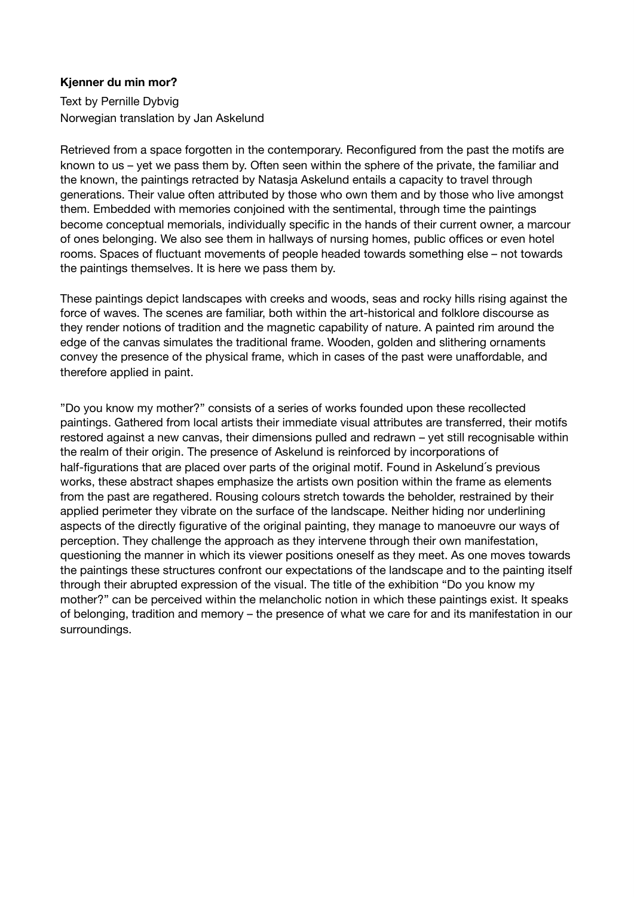## **Kjenner du min mor?**

Text by Pernille Dybvig Norwegian translation by Jan Askelund

Retrieved from a space forgotten in the contemporary. Reconfigured from the past the motifs are known to us – yet we pass them by. Often seen within the sphere of the private, the familiar and the known, the paintings retracted by Natasja Askelund entails a capacity to travel through generations. Their value often attributed by those who own them and by those who live amongst them. Embedded with memories conjoined with the sentimental, through time the paintings become conceptual memorials, individually specific in the hands of their current owner, a marcour of ones belonging. We also see them in hallways of nursing homes, public offices or even hotel rooms. Spaces of fluctuant movements of people headed towards something else – not towards the paintings themselves. It is here we pass them by.

These paintings depict landscapes with creeks and woods, seas and rocky hills rising against the force of waves. The scenes are familiar, both within the art-historical and folklore discourse as they render notions of tradition and the magnetic capability of nature. A painted rim around the edge of the canvas simulates the traditional frame. Wooden, golden and slithering ornaments convey the presence of the physical frame, which in cases of the past were unaffordable, and therefore applied in paint.

"Do you know my mother?" consists of a series of works founded upon these recollected paintings. Gathered from local artists their immediate visual attributes are transferred, their motifs restored against a new canvas, their dimensions pulled and redrawn – yet still recognisable within the realm of their origin. The presence of Askelund is reinforced by incorporations of half-figurations that are placed over parts of the original motif. Found in Askelund´s previous works, these abstract shapes emphasize the artists own position within the frame as elements from the past are regathered. Rousing colours stretch towards the beholder, restrained by their applied perimeter they vibrate on the surface of the landscape. Neither hiding nor underlining aspects of the directly figurative of the original painting, they manage to manoeuvre our ways of perception. They challenge the approach as they intervene through their own manifestation, questioning the manner in which its viewer positions oneself as they meet. As one moves towards the paintings these structures confront our expectations of the landscape and to the painting itself through their abrupted expression of the visual. The title of the exhibition "Do you know my mother?" can be perceived within the melancholic notion in which these paintings exist. It speaks of belonging, tradition and memory – the presence of what we care for and its manifestation in our surroundings.